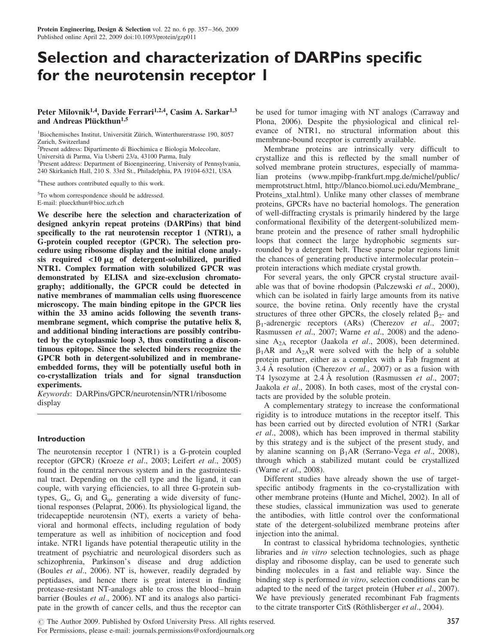# Selection and characterization of DARPins specific for the neurotensin receptor I

# Peter Milovnik<sup>1,4</sup>, Davide Ferrari<sup>1,2,4</sup>, Casim A. Sarkar<sup>1,3</sup> and Andreas Plückthun<sup>1,5</sup>

<sup>1</sup>Biochemisches Institut, Universität Zürich, Winterthurerstrasse 190, 8057 Zurich, Switzerland

2 Present address: Dipartimento di Biochimica e Biologia Molecolare,

Università di Parma, Via Usberti 23/a, 43100 Parma, Italy

<sup>3</sup>Present address: Department of Bioengineering, University of Pennsylvania, 240 Skirkanich Hall, 210 S. 33rd St., Philadelphia, PA 19104-6321, USA

<sup>4</sup>These authors contributed equally to this work.

<sup>5</sup>To whom correspondence should be addressed. E-mail: plueckthun@bioc.uzh.ch

We describe here the selection and characterization of designed ankyrin repeat proteins (DARPins) that bind specifically to the rat neurotensin receptor 1 (NTR1), a G-protein coupled receptor (GPCR). The selection procedure using ribosome display and the initial clone analysis required  $\langle 10 \mu g \rangle$  of detergent-solubilized, purified NTR1. Complex formation with solubilized GPCR was demonstrated by ELISA and size-exclusion chromatography; additionally, the GPCR could be detected in native membranes of mammalian cells using fluorescence microscopy. The main binding epitope in the GPCR lies within the 33 amino acids following the seventh transmembrane segment, which comprise the putative helix 8, and additional binding interactions are possibly contributed by the cytoplasmic loop 3, thus constituting a discontinuous epitope. Since the selected binders recognize the GPCR both in detergent-solubilized and in membraneembedded forms, they will be potentially useful both in co-crystallization trials and for signal transduction experiments.

Keywords: DARPins/GPCR/neurotensin/NTR1/ribosome display

## Introduction

The neurotensin receptor 1 (NTR1) is a G-protein coupled receptor (GPCR) (Kroeze et al., 2003; Leifert et al., 2005) found in the central nervous system and in the gastrointestinal tract. Depending on the cell type and the ligand, it can couple, with varying efficiencies, to all three G-protein subtypes,  $G_s$ ,  $G_i$  and  $G_g$ , generating a wide diversity of functional responses (Pelaprat, 2006). Its physiological ligand, the tridecapeptide neurotensin (NT), exerts a variety of behavioral and hormonal effects, including regulation of body temperature as well as inhibition of nociception and food intake. NTR1 ligands have potential therapeutic utility in the treatment of psychiatric and neurological disorders such as schizophrenia, Parkinson's disease and drug addiction (Boules et al., 2006). NT is, however, readily degraded by peptidases, and hence there is great interest in finding protease-resistant NT-analogs able to cross the blood–brain barrier (Boules et al., 2006). NT and its analogs also participate in the growth of cancer cells, and thus the receptor can be used for tumor imaging with NT analogs (Carraway and Plona, 2006). Despite the physiological and clinical relevance of NTR1, no structural information about this membrane-bound receptor is currently available.

Membrane proteins are intrinsically very difficult to crystallize and this is reflected by the small number of solved membrane protein structures, especially of mammalian proteins (www.mpibp-frankfurt.mpg.de/michel/public/ memprotstruct.html, http://blanco.biomol.uci.edu/Membrane\_ Proteins xtal.html). Unlike many other classes of membrane proteins, GPCRs have no bacterial homologs. The generation of well-diffracting crystals is primarily hindered by the large conformational flexibility of the detergent-solubilized membrane protein and the presence of rather small hydrophilic loops that connect the large hydrophobic segments surrounded by a detergent belt. These sparse polar regions limit the chances of generating productive intermolecular protein– protein interactions which mediate crystal growth.

For several years, the only GPCR crystal structure available was that of bovine rhodopsin (Palczewski et al., 2000), which can be isolated in fairly large amounts from its native source, the bovine retina. Only recently have the crystal structures of three other GPCRs, the closely related  $\beta_2$ - and  $\beta_1$ -adrenergic receptors (ARs) (Cherezov et al., 2007; Rasmussen et al., 2007; Warne et al., 2008) and the adenosine  $A_{2A}$  receptor (Jaakola et al., 2008), been determined.  $\beta_1$ AR and A<sub>2A</sub>R were solved with the help of a soluble protein partner, either as a complex with a Fab fragment at 3.4 A resolution (Cherezov et al., 2007) or as a fusion with T4 lysozyme at  $2.4 \text{ Å}$  resolution (Rasmussen et al., 2007; Jaakola *et al.*, 2008). In both cases, most of the crystal contacts are provided by the soluble protein.

A complementary strategy to increase the conformational rigidity is to introduce mutations in the receptor itself. This has been carried out by directed evolution of NTR1 (Sarkar et al., 2008), which has been improved in thermal stability by this strategy and is the subject of the present study, and by alanine scanning on  $\beta_1AR$  (Serrano-Vega et al., 2008), through which a stabilized mutant could be crystallized (Warne et al., 2008).

Different studies have already shown the use of targetspecific antibody fragments in the co-crystallization with other membrane proteins (Hunte and Michel, 2002). In all of these studies, classical immunization was used to generate the antibodies, with little control over the conformational state of the detergent-solubilized membrane proteins after injection into the animal.

In contrast to classical hybridoma technologies, synthetic libraries and in vitro selection technologies, such as phage display and ribosome display, can be used to generate such binding molecules in a fast and reliable way. Since the binding step is performed *in vitro*, selection conditions can be adapted to the need of the target protein (Huber *et al.*, 2007). We have previously generated recombinant Fab fragments to the citrate transporter CitS (Röthlisberger et al., 2004).

© The Author 2009. Published by Oxford University Press. All rights reserved. For Permissions, please e-mail: journals.permissions@oxfordjournals.org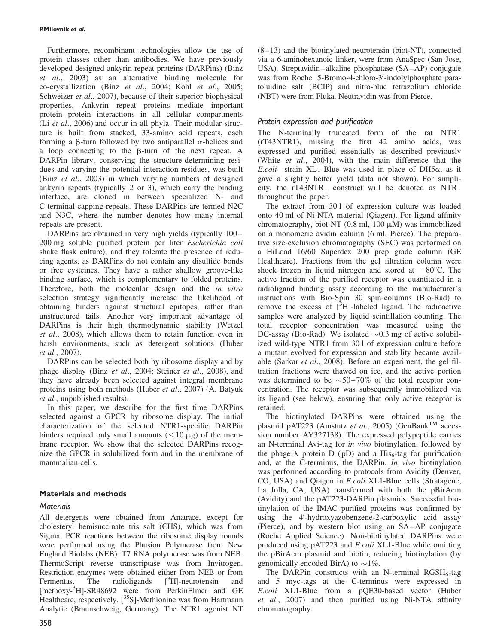Furthermore, recombinant technologies allow the use of protein classes other than antibodies. We have previously developed designed ankyrin repeat proteins (DARPins) (Binz et al., 2003) as an alternative binding molecule for co-crystallization (Binz et al., 2004; Kohl et al., 2005; Schweizer et al., 2007), because of their superior biophysical properties. Ankyrin repeat proteins mediate important protein–protein interactions in all cellular compartments (Li et al., 2006) and occur in all phyla. Their modular structure is built from stacked, 33-amino acid repeats, each forming a  $\beta$ -turn followed by two antiparallel  $\alpha$ -helices and a loop connecting to the  $\beta$ -turn of the next repeat. A DARPin library, conserving the structure-determining residues and varying the potential interaction residues, was built (Binz et al., 2003) in which varying numbers of designed ankyrin repeats (typically 2 or 3), which carry the binding interface, are cloned in between specialized N- and C-terminal capping-repeats. These DARPins are termed N2C and N3C, where the number denotes how many internal repeats are present.

DARPins are obtained in very high yields (typically 100– 200 mg soluble purified protein per liter Escherichia coli shake flask culture), and they tolerate the presence of reducing agents, as DARPins do not contain any disulfide bonds or free cysteines. They have a rather shallow groove-like binding surface, which is complementary to folded proteins. Therefore, both the molecular design and the *in vitro* selection strategy significantly increase the likelihood of obtaining binders against structural epitopes, rather than unstructured tails. Another very important advantage of DARPins is their high thermodynamic stability (Wetzel et al., 2008), which allows them to retain function even in harsh environments, such as detergent solutions (Huber et al., 2007).

DARPins can be selected both by ribosome display and by phage display (Binz et al., 2004; Steiner et al., 2008), and they have already been selected against integral membrane proteins using both methods (Huber et al., 2007) (A. Batyuk et al., unpublished results).

In this paper, we describe for the first time DARPins selected against a GPCR by ribosome display. The initial characterization of the selected NTR1-specific DARPin binders required only small amounts  $(<10 \mu g)$  of the membrane receptor. We show that the selected DARPins recognize the GPCR in solubilized form and in the membrane of mammalian cells.

# Materials and methods

## **Materials**

All detergents were obtained from Anatrace, except for cholesteryl hemisuccinate tris salt (CHS), which was from Sigma. PCR reactions between the ribosome display rounds were performed using the Phusion Polymerase from New England Biolabs (NEB). T7 RNA polymerase was from NEB. ThermoScript reverse transcriptase was from Invitrogen. Restriction enzymes were obtained either from NEB or from Fermentas. The radioligands  $\int^3 H$ ]-neurotensin and [methoxy-3 H]-SR48692 were from PerkinElmer and GE Healthcare, respectively.  $\left[35\right]$ -Methionine was from Hartmann Analytic (Braunschweig, Germany). The NTR1 agonist NT

(8–13) and the biotinylated neurotensin (biot-NT), connected via a 6-aminohexanoic linker, were from AnaSpec (San Jose, USA). Streptavidin–alkaline phosphatase (SA–AP) conjugate was from Roche. 5-Bromo-4-chloro-3'-indolylphosphate paratoluidine salt (BCIP) and nitro-blue tetrazolium chloride (NBT) were from Fluka. Neutravidin was from Pierce.

## Protein expression and purification

The N-terminally truncated form of the rat NTR1 (rT43NTR1), missing the first 42 amino acids, was expressed and purified essentially as described previously (White *et al.*, 2004), with the main difference that the E.coli strain XL1-Blue was used in place of DH5 $\alpha$ , as it gave a slightly better yield (data not shown). For simplicity, the rT43NTR1 construct will be denoted as NTR1 throughout the paper.

The extract from 301 of expression culture was loaded onto 40 ml of Ni-NTA material (Qiagen). For ligand affinity chromatography, biot-NT  $(0.8 \text{ ml}, 100 \mu\text{M})$  was immobilized on a monomeric avidin column (6 ml, Pierce). The preparative size-exclusion chromatography (SEC) was performed on a HiLoad 16/60 Superdex 200 prep grade column (GE Healthcare). Fractions from the gel filtration column were shock frozen in liquid nitrogen and stored at  $-80^{\circ}$ C. The active fraction of the purified receptor was quantitated in a radioligand binding assay according to the manufacturer's instructions with Bio-Spin 30 spin-columns (Bio-Rad) to remove the excess of  $[^{3}H]$ -labeled ligand. The radioactive samples were analyzed by liquid scintillation counting. The total receptor concentration was measured using the DC-assay (Bio-Rad). We isolated  $\sim 0.3$  mg of active solubilized wild-type NTR1 from 30 l of expression culture before a mutant evolved for expression and stability became available (Sarkar et al., 2008). Before an experiment, the gel filtration fractions were thawed on ice, and the active portion was determined to be  $\sim 50-70\%$  of the total receptor concentration. The receptor was subsequently immobilized via its ligand (see below), ensuring that only active receptor is retained.

The biotinylated DARPins were obtained using the plasmid pAT223 (Amstutz et al., 2005) (GenBank<sup>TM</sup> accession number AY327138). The expressed polypeptide carries an N-terminal Avi-tag for in vivo biotinylation, followed by the phage  $\lambda$  protein D (pD) and a His<sub>6</sub>-tag for purification and, at the C-terminus, the DARPin. In vivo biotinylation was performed according to protocols from Avidity (Denver, CO, USA) and Qiagen in E.coli XL1-Blue cells (Stratagene, La Jolla, CA, USA) transformed with both the pBirAcm (Avidity) and the pAT223-DARPin plasmids. Successful biotinylation of the IMAC purified proteins was confirmed by using the 4'-hydroxyazobenzene-2-carboxylic acid assay (Pierce), and by western blot using an SA–AP conjugate (Roche Applied Science). Non-biotinylated DARPins were produced using pAT223 and E.coli XL1-Blue while omitting the pBirAcm plasmid and biotin, reducing biotinylation (by genomically encoded BirA) to  $\sim$ 1%.

The DARPin constructs with an N-terminal  $RGSH_6$ -tag and 5 myc-tags at the C-terminus were expressed in E.coli XL1-Blue from a pQE30-based vector (Huber et al., 2007) and then purified using Ni-NTA affinity chromatography.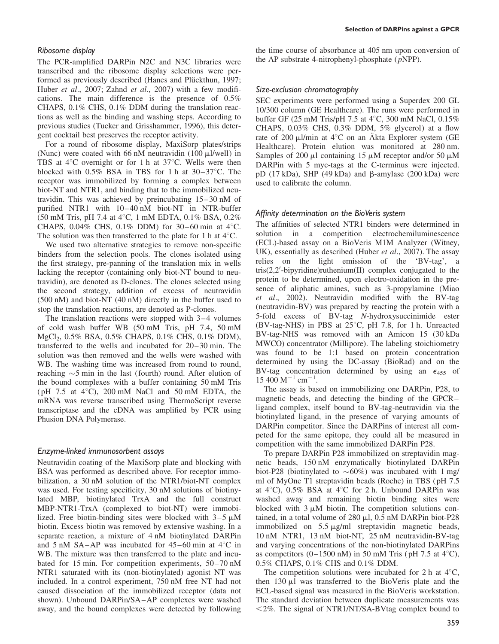#### Ribosome display

The PCR-amplified DARPin N2C and N3C libraries were transcribed and the ribosome display selections were performed as previously described (Hanes and Plückthun, 1997; Huber et al., 2007; Zahnd et al., 2007) with a few modifications. The main difference is the presence of 0.5% CHAPS, 0.1% CHS, 0.1% DDM during the translation reactions as well as the binding and washing steps. According to previous studies (Tucker and Grisshammer, 1996), this detergent cocktail best preserves the receptor activity.

For a round of ribosome display, MaxiSorp plates/strips (Nunc) were coated with 66 nM neutravidin  $(100 \mu$ l/well) in TBS at  $4^{\circ}$ C overnight or for 1 h at  $37^{\circ}$ C. Wells were then blocked with 0.5% BSA in TBS for 1 h at  $30-37^{\circ}$ C. The receptor was immobilized by forming a complex between biot-NT and NTR1, and binding that to the immobilized neutravidin. This was achieved by preincubating 15–30 nM of purified NTR1 with 10–40 nM biot-NT in NTR-buffer (50 mM Tris, pH 7.4 at 4°C, 1 mM EDTA, 0.1% BSA, 0.2% CHAPS, 0.04% CHS, 0.1% DDM) for 30–60 min at  $4^{\circ}$ C. The solution was then transferred to the plate for 1 h at  $4^{\circ}$ C.

We used two alternative strategies to remove non-specific binders from the selection pools. The clones isolated using the first strategy, pre-panning of the translation mix in wells lacking the receptor (containing only biot-NT bound to neutravidin), are denoted as D-clones. The clones selected using the second strategy, addition of excess of neutravidin (500 nM) and biot-NT (40 nM) directly in the buffer used to stop the translation reactions, are denoted as P-clones.

The translation reactions were stopped with 3–4 volumes of cold wash buffer WB (50 mM Tris, pH 7.4, 50 mM MgCl<sub>2</sub>, 0.5% BSA, 0.5% CHAPS, 0.1% CHS, 0.1% DDM), transferred to the wells and incubated for 20–30 min. The solution was then removed and the wells were washed with WB. The washing time was increased from round to round, reaching  $\sim$  5 min in the last (fourth) round. After elution of the bound complexes with a buffer containing 50 mM Tris (pH 7.5 at  $4^{\circ}$ C), 200 mM NaCl and 50 mM EDTA, the mRNA was reverse transcribed using ThermoScript reverse transcriptase and the cDNA was amplified by PCR using Phusion DNA Polymerase.

#### Enzyme-linked immunosorbent assays

Neutravidin coating of the MaxiSorp plate and blocking with BSA was performed as described above. For receptor immobilization, a 30 nM solution of the NTR1/biot-NT complex was used. For testing specificity, 30 nM solutions of biotinylated MBP, biotinylated TrxA and the full construct MBP-NTR1-TrxA (complexed to biot-NT) were immobilized. Free biotin-binding sites were blocked with  $3-5 \mu M$ biotin. Excess biotin was removed by extensive washing. In a separate reaction, a mixture of 4 nM biotinylated DARPin and 5 nM SA–AP was incubated for  $45-60$  min at  $4^{\circ}$ C in WB. The mixture was then transferred to the plate and incubated for 15 min. For competition experiments, 50–70 nM NTR1 saturated with its (non-biotinylated) agonist NT was included. In a control experiment, 750 nM free NT had not caused dissociation of the immobilized receptor (data not shown). Unbound DARPin/SA–AP complexes were washed away, and the bound complexes were detected by following

the time course of absorbance at 405 nm upon conversion of the AP substrate 4-nitrophenyl-phosphate (pNPP).

#### Size-exclusion chromatography

SEC experiments were performed using a Superdex 200 GL 10/300 column (GE Healthcare). The runs were performed in buffer GF (25 mM Tris/pH 7.5 at  $4^{\circ}$ C, 300 mM NaCl, 0.15% CHAPS,  $0.03\%$  CHS,  $0.3\%$  DDM,  $5\%$  glycerol) at a flow rate of 200  $\mu$ l/min at 4°C on an Äkta Explorer system (GE Healthcare). Protein elution was monitored at 280 nm. Samples of 200  $\mu$ l containing 15  $\mu$ M receptor and/or 50  $\mu$ M DARPin with 5 myc-tags at the C-terminus were injected. pD  $(17 kDa)$ , SHP  $(49 kDa)$  and  $\beta$ -amylase  $(200 kDa)$  were used to calibrate the column.

#### Affinity determination on the BioVeris system

The affinities of selected NTR1 binders were determined in solution in a competition electrochemiluminescence (ECL)-based assay on a BioVeris M1M Analyzer (Witney, UK), essentially as described (Huber et al., 2007). The assay relies on the light emission of the 'BV-tag', a  $tris(2,2'-bipyridine)$ ruthenium(II) complex conjugated to the protein to be determined, upon electro-oxidation in the presence of aliphatic amines, such as 3-propylamine (Miao et al., 2002). Neutravidin modified with the BV-tag (neutravidin-BV) was prepared by reacting the protein with a 5-fold excess of BV-tag N-hydroxysuccinimide ester (BV-tag-NHS) in PBS at  $25^{\circ}$ C, pH 7.8, for 1 h. Unreacted BV-tag-NHS was removed with an Amicon 15 (30 kDa MWCO) concentrator (Millipore). The labeling stoichiometry was found to be 1:1 based on protein concentration determined by using the DC-assay (BioRad) and on the BV-tag concentration determined by using an  $\epsilon_{455}$  of  $15\,400\,\mathrm{M}^{-1}\,\mathrm{cm}^{-1}$ .

The assay is based on immobilizing one DARPin, P28, to magnetic beads, and detecting the binding of the GPCR– ligand complex, itself bound to BV-tag-neutravidin via the biotinylated ligand, in the presence of varying amounts of DARPin competitor. Since the DARPins of interest all competed for the same epitope, they could all be measured in competition with the same immobilized DARPin P28.

To prepare DARPin P28 immobilized on streptavidin magnetic beads, 150 nM enzymatically biotinylated DARPin biot-P28 (biotinylated to  $\sim 60\%$ ) was incubated with 1 mg/ ml of MyOne T1 streptavidin beads (Roche) in TBS (pH 7.5 at  $4^{\circ}$ C), 0.5% BSA at  $4^{\circ}$ C for 2 h. Unbound DARPin was washed away and remaining biotin binding sites were blocked with  $3 \mu M$  biotin. The competition solutions contained, in a total volume of  $280 \mu l$ , 0.5 nM DARPin biot-P28 immobilized on  $5.5 \mu g/ml$  streptavidin magnetic beads, 10 nM NTR1, 13 nM biot-NT, 25 nM neutravidin-BV-tag and varying concentrations of the non-biotinylated DARPins as competitors  $(0-1500 \text{ nM})$  in 50 mM Tris (pH 7.5 at 4 $^{\circ}$ C), 0.5% CHAPS, 0.1% CHS and 0.1% DDM.

The competition solutions were incubated for 2 h at  $4^{\circ}C$ , then  $130 \mu l$  was transferred to the BioVeris plate and the ECL-based signal was measured in the BioVeris workstation. The standard deviation between duplicate measurements was  $<2\%$ . The signal of NTR1/NT/SA-BVtag complex bound to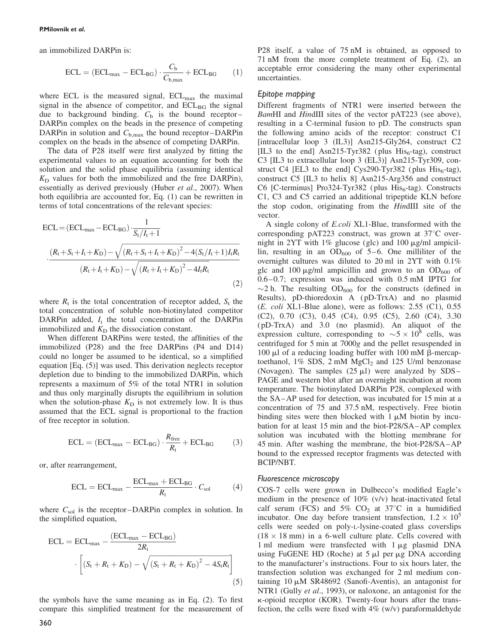an immobilized DARPin is:

$$
ECL = (ECL_{max} - ECL_{BG}) \cdot \frac{C_b}{C_{b,max}} + ECL_{BG}
$$
 (1)

where ECL is the measured signal,  $ECL_{max}$  the maximal signal in the absence of competitor, and  $ECL_{BG}$  the signal due to background binding.  $C<sub>b</sub>$  is the bound receptor– DARPin complex on the beads in the presence of competing DARPin in solution and  $C_{b,max}$  the bound receptor–DARPin complex on the beads in the absence of competing DARPin.

The data of P28 itself were first analyzed by fitting the experimental values to an equation accounting for both the solution and the solid phase equilibria (assuming identical  $K_D$  values for both the immobilized and the free DARPin), essentially as derived previously (Huber et al., 2007). When both equilibria are accounted for, Eq. (1) can be rewritten in terms of total concentrations of the relevant species:

ECL = (ECL<sub>max</sub> – ECL<sub>BG</sub>) 
$$
\cdot \frac{1}{S_t/I_t + 1}
$$
  

$$
\cdot \frac{(R_t + S_t + I_t + K_D) - \sqrt{(R_t + S_t + I_t + K_D)^2 - 4(S_t/I_t + 1)I_tR_t}}{(R_t + I_t + K_D) - \sqrt{(R_t + I_t + K_D)^2 - 4I_tR_t}}
$$
(2)

where  $R_t$  is the total concentration of receptor added,  $S_t$  the total concentration of soluble non-biotinylated competitor DARPin added,  $I_t$  the total concentration of the DARPin immobilized and  $K<sub>D</sub>$  the dissociation constant.

When different DARPins were tested, the affinities of the immobilized (P28) and the free DARPins (P4 and D14) could no longer be assumed to be identical, so a simplified equation [Eq. (5)] was used. This derivation neglects receptor depletion due to binding to the immobilized DARPin, which represents a maximum of 5% of the total NTR1 in solution and thus only marginally disrupts the equilibrium in solution when the solution-phase  $K<sub>D</sub>$  is not extremely low. It is thus assumed that the ECL signal is proportional to the fraction of free receptor in solution.

$$
ECL = (ECL_{max} - ECL_{BG}) \cdot \frac{R_{free}}{R_t} + ECL_{BG}
$$
 (3)

or, after rearrangement,

$$
ECL = ECL_{max} - \frac{ECL_{max} + ECL_{BG}}{R_t} \cdot C_{sol}
$$
 (4)

where  $C_{\text{sol}}$  is the receptor–DARPin complex in solution. In the simplified equation,

$$
ECL = ECL_{max} - \frac{(ECL_{max} - ECL_{BG})}{2R_t}
$$

$$
\cdot \left[ (S_t + R_t + K_D) - \sqrt{(S_t + R_t + K_D)^2 - 4S_tR_t} \right]
$$
(5)

the symbols have the same meaning as in Eq. (2). To first compare this simplified treatment for the measurement of P28 itself, a value of 75 nM is obtained, as opposed to 71 nM from the more complete treatment of Eq. (2), an acceptable error considering the many other experimental uncertainties.

## Epitope mapping

Different fragments of NTR1 were inserted between the BamHI and HindIII sites of the vector pAT223 (see above), resulting in a C-terminal fusion to pD. The constructs span the following amino acids of the receptor: construct C1 [intracellular loop 3 (IL3)] Asn215-Gly264, construct C2 [IL3 to the end] Asn215-Tyr382 (plus  $His<sub>6</sub>$ -tag), construct C3 [IL3 to extracellular loop 3 (EL3)] Asn215-Tyr309, construct C4 [EL3 to the end] Cys290-Tyr382 (plus  $His<sub>6</sub>-tag$ ), construct C5 [IL3 to helix 8] Asn215-Arg356 and construct C6 [C-terminus] Pro324-Tyr382 (plus  $His<sub>6</sub>$ -tag). Constructs C1, C3 and C5 carried an additional tripeptide KLN before the stop codon, originating from the HindIII site of the vector.

A single colony of E.coli XL1-Blue, transformed with the corresponding pAT223 construct, was grown at  $37^{\circ}$ C overnight in 2YT with  $1\%$  glucose (glc) and  $100 \mu$ g/ml ampicillin, resulting in an  $OD_{600}$  of 5–6. One milliliter of the overnight cultures was diluted to 20 ml in 2YT with 0.1% glc and 100  $\mu$ g/ml ampicillin and grown to an OD<sub>600</sub> of 0.6–0.7; expression was induced with 0.5 mM IPTG for  $\sim$ 2 h. The resulting OD<sub>600</sub> for the constructs (defined in Results), pD-thioredoxin A (pD-TrxA) and no plasmid  $(E. \; coli$  XL1-Blue alone), were as follows: 2.55  $(C1)$ , 0.55 (C2), 0.70 (C3), 0.45 (C4), 0.95 (C5), 2.60 (C4), 3.30 (pD-TrxA) and 3.0 (no plasmid). An aliquot of the expression culture, corresponding to  $\sim 5 \times 10^8$  cells, was centrifuged for 5 min at 7000g and the pellet resuspended in 100  $\mu$ l of a reducing loading buffer with 100 mM  $\beta$ -mercaptoethanol,  $1\%$  SDS,  $2 \text{ mM } MgCl<sub>2</sub>$  and  $125 \text{ U/ml}$  benzonase (Novagen). The samples  $(25 \mu l)$  were analyzed by SDS– PAGE and western blot after an overnight incubation at room temperature. The biotinylated DARPin P28, complexed with the SA–AP used for detection, was incubated for 15 min at a concentration of 75 and 37.5 nM, respectively. Free biotin binding sites were then blocked with  $1 \mu M$  biotin by incubation for at least 15 min and the biot-P28/SA–AP complex solution was incubated with the blotting membrane for 45 min. After washing the membrane, the biot-P28/SA–AP bound to the expressed receptor fragments was detected with BCIP/NBT.

#### Fluorescence microscopy

COS-7 cells were grown in Dulbecco's modified Eagle's medium in the presence of 10% (v/v) heat-inactivated fetal calf serum (FCS) and  $5\%$  CO<sub>2</sub> at  $37^{\circ}$ C in a humidified incubator. One day before transient transfection,  $1.2 \times 10^5$ cells were seeded on poly-L-lysine-coated glass coverslips  $(18 \times 18 \text{ mm})$  in a 6-well culture plate. Cells covered with 1 ml medium were transfected with  $1 \mu$ g plasmid DNA using FuGENE HD (Roche) at  $5 \mu l$  per  $\mu$ g DNA according to the manufacturer's instructions. Four to six hours later, the transfection solution was exchanged for 2 ml medium containing  $10 \mu M$  SR48692 (Sanofi-Aventis), an antagonist for NTR1 (Gully et al., 1993), or naloxone, an antagonist for the k-opioid receptor (KOR). Twenty-four hours after the transfection, the cells were fixed with  $4\%$  (w/v) paraformaldehyde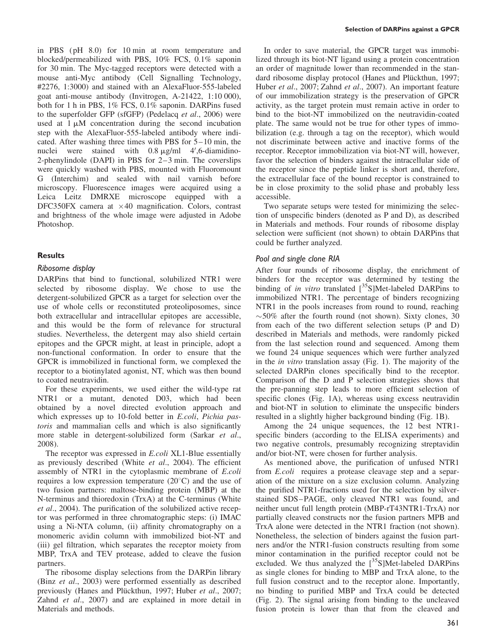in PBS (pH 8.0) for 10 min at room temperature and blocked/permeabilized with PBS, 10% FCS, 0.1% saponin for 30 min. The Myc-tagged receptors were detected with a mouse anti-Myc antibody (Cell Signalling Technology, #2276, 1:3000) and stained with an AlexaFluor-555-labeled goat anti-mouse antibody (Invitrogen, A-21422, 1:10 000), both for 1 h in PBS, 1% FCS, 0.1% saponin. DARPins fused to the superfolder GFP (sfGFP) (Pedelacq et al., 2006) were used at  $1 \mu M$  concentration during the second incubation step with the AlexaFluor-555-labeled antibody where indicated. After washing three times with PBS for 5–10 min, the nuclei were stained with  $0.8 \mu g/ml$  4',6-diamidino-2-phenylindole (DAPI) in PBS for 2–3 min. The coverslips were quickly washed with PBS, mounted with Fluoromount G (Interchim) and sealed with nail varnish before microscopy. Fluorescence images were acquired using a Leica Leitz DMRXE microscope equipped with a DFC350FX camera at  $\times$ 40 magnification. Colors, contrast and brightness of the whole image were adjusted in Adobe Photoshop.

## **Results**

#### Ribosome display

DARPins that bind to functional, solubilized NTR1 were selected by ribosome display. We chose to use the detergent-solubilized GPCR as a target for selection over the use of whole cells or reconstituted proteoliposomes, since both extracellular and intracellular epitopes are accessible, and this would be the form of relevance for structural studies. Nevertheless, the detergent may also shield certain epitopes and the GPCR might, at least in principle, adopt a non-functional conformation. In order to ensure that the GPCR is immobilized in functional form, we complexed the receptor to a biotinylated agonist, NT, which was then bound to coated neutravidin.

For these experiments, we used either the wild-type rat NTR1 or a mutant, denoted D03, which had been obtained by a novel directed evolution approach and which expresses up to 10-fold better in E.coli, Pichia pastoris and mammalian cells and which is also significantly more stable in detergent-solubilized form (Sarkar et al., 2008).

The receptor was expressed in E.coli XL1-Blue essentially as previously described (White et al., 2004). The efficient assembly of NTR1 in the cytoplasmic membrane of E.coli requires a low expression temperature  $(20^{\circ}C)$  and the use of two fusion partners: maltose-binding protein (MBP) at the N-terminus and thioredoxin (TrxA) at the C-terminus (White et al., 2004). The purification of the solubilized active receptor was performed in three chromatographic steps: (i) IMAC using a Ni-NTA column, (ii) affinity chromatography on a monomeric avidin column with immobilized biot-NT and (iii) gel filtration, which separates the receptor moiety from MBP, TrxA and TEV protease, added to cleave the fusion partners.

The ribosome display selections from the DARPin library (Binz et al., 2003) were performed essentially as described previously (Hanes and Plückthun, 1997; Huber et al., 2007; Zahnd et al., 2007) and are explained in more detail in Materials and methods.

In order to save material, the GPCR target was immobilized through its biot-NT ligand using a protein concentration an order of magnitude lower than recommended in the standard ribosome display protocol (Hanes and Plückthun, 1997; Huber et al., 2007; Zahnd et al., 2007). An important feature of our immobilization strategy is the preservation of GPCR activity, as the target protein must remain active in order to bind to the biot-NT immobilized on the neutravidin-coated plate. The same would not be true for other types of immobilization (e.g. through a tag on the receptor), which would not discriminate between active and inactive forms of the receptor. Receptor immobilization via biot-NT will, however, favor the selection of binders against the intracellular side of the receptor since the peptide linker is short and, therefore, the extracellular face of the bound receptor is constrained to be in close proximity to the solid phase and probably less accessible.

Two separate setups were tested for minimizing the selection of unspecific binders (denoted as P and D), as described in Materials and methods. Four rounds of ribosome display selection were sufficient (not shown) to obtain DARPins that could be further analyzed.

#### Pool and single clone RIA

After four rounds of ribosome display, the enrichment of binders for the receptor was determined by testing the binding of in vitro translated [<sup>35</sup>S]Met-labeled DARPins to immobilized NTR1. The percentage of binders recognizing NTR1 in the pools increases from round to round, reaching  $\sim$  50% after the fourth round (not shown). Sixty clones, 30 from each of the two different selection setups (P and D) described in Materials and methods, were randomly picked from the last selection round and sequenced. Among them we found 24 unique sequences which were further analyzed in the in vitro translation assay (Fig. 1). The majority of the selected DARPin clones specifically bind to the receptor. Comparison of the D and P selection strategies shows that the pre-panning step leads to more efficient selection of specific clones (Fig. 1A), whereas using excess neutravidin and biot-NT in solution to eliminate the unspecific binders resulted in a slightly higher background binding (Fig. 1B).

Among the 24 unique sequences, the 12 best NTR1 specific binders (according to the ELISA experiments) and two negative controls, presumably recognizing streptavidin and/or biot-NT, were chosen for further analysis.

As mentioned above, the purification of unfused NTR1 from E.coli requires a protease cleavage step and a separation of the mixture on a size exclusion column. Analyzing the purified NTR1-fractions used for the selection by silverstained SDS–PAGE, only cleaved NTR1 was found, and neither uncut full length protein (MBP-rT43NTR1-TrxA) nor partially cleaved constructs nor the fusion partners MPB and TrxA alone were detected in the NTR1 fraction (not shown). Nonetheless, the selection of binders against the fusion partners and/or the NTR1-fusion constructs resulting from some minor contamination in the purified receptor could not be excluded. We thus analyzed the  $[^{35}S]$ Met-labeled DARPins as single clones for binding to MBP and TrxA alone, to the full fusion construct and to the receptor alone. Importantly, no binding to purified MBP and TrxA could be detected (Fig. 2). The signal arising from binding to the uncleaved fusion protein is lower than that from the cleaved and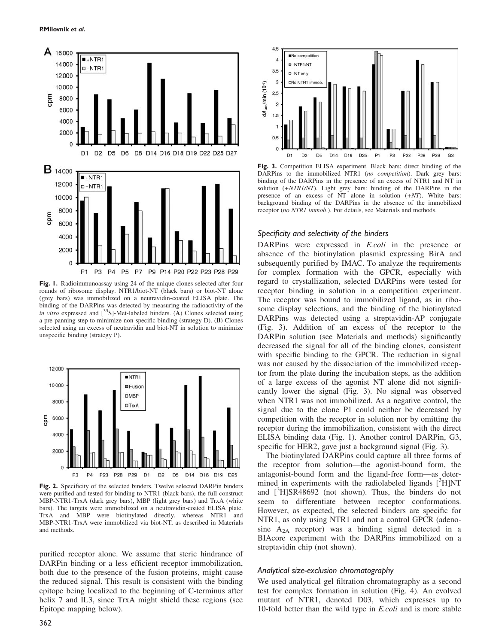

Fig. 1. Radioimmunoassay using 24 of the unique clones selected after four rounds of ribosome display. NTR1/biot-NT (black bars) or biot-NT alone (grey bars) was immobilized on a neutravidin-coated ELISA plate. The binding of the DARPins was detected by measuring the radioactivity of the in vitro expressed and  $[^{35}S]$ -Met-labeled binders. (A) Clones selected using a pre-panning step to minimize non-specific binding (strategy D). (B) Clones selected using an excess of neutravidin and biot-NT in solution to minimize unspecific binding (strategy P).



Fig. 2. Specificity of the selected binders. Twelve selected DARPin binders were purified and tested for binding to NTR1 (black bars), the full construct MBP-NTR1-TrxA (dark grey bars), MBP (light grey bars) and TrxA (white bars). The targets were immobilized on a neutravidin-coated ELISA plate. TrxA and MBP were biotinylated directly, whereas NTR1 and MBP-NTR1-TrxA were immobilized via biot-NT, as described in Materials and methods.

purified receptor alone. We assume that steric hindrance of DARPin binding or a less efficient receptor immobilization, both due to the presence of the fusion proteins, might cause the reduced signal. This result is consistent with the binding epitope being localized to the beginning of C-terminus after helix 7 and IL3, since TrxA might shield these regions (see Epitope mapping below).



Fig. 3. Competition ELISA experiment. Black bars: direct binding of the DARPins to the immobilized NTR1 (no competition). Dark grey bars: binding of the DARPins in the presence of an excess of NTR1 and NT in solution (+NTR1/NT). Light grey bars: binding of the DARPins in the presence of an excess of NT alone in solution  $(+NT)$ . White bars: background binding of the DARPins in the absence of the immobilized receptor (no NTR1 immob.). For details, see Materials and methods.

#### Specificity and selectivity of the binders

DARPins were expressed in *E.coli* in the presence or absence of the biotinylation plasmid expressing BirA and subsequently purified by IMAC. To analyze the requirements for complex formation with the GPCR, especially with regard to crystallization, selected DARPins were tested for receptor binding in solution in a competition experiment. The receptor was bound to immobilized ligand, as in ribosome display selections, and the binding of the biotinylated DARPins was detected using a streptavidin-AP conjugate (Fig. 3). Addition of an excess of the receptor to the DARPin solution (see Materials and methods) significantly decreased the signal for all of the binding clones, consistent with specific binding to the GPCR. The reduction in signal was not caused by the dissociation of the immobilized receptor from the plate during the incubation steps, as the addition of a large excess of the agonist NT alone did not significantly lower the signal (Fig. 3). No signal was observed when NTR1 was not immobilized. As a negative control, the signal due to the clone P1 could neither be decreased by competition with the receptor in solution nor by omitting the receptor during the immobilization, consistent with the direct ELISA binding data (Fig. 1). Another control DARPin, G3, specific for HER2, gave just a background signal (Fig. 3).

The biotinylated DARPins could capture all three forms of the receptor from solution—the agonist-bound form, the antagonist-bound form and the ligand-free form—as determined in experiments with the radiolabeled ligands  $[^{3}H]NT$ and [<sup>3</sup>H]SR48692 (not shown). Thus, the binders do not seem to differentiate between receptor conformations. However, as expected, the selected binders are specific for NTR1, as only using NTR1 and not a control GPCR (adenosine  $A_{2A}$  receptor) was a binding signal detected in a BIAcore experiment with the DARPins immobilized on a streptavidin chip (not shown).

#### Analytical size-exclusion chromatography

We used analytical gel filtration chromatography as a second test for complex formation in solution (Fig. 4). An evolved mutant of NTR1, denoted D03, which expresses up to 10-fold better than the wild type in *E.coli* and is more stable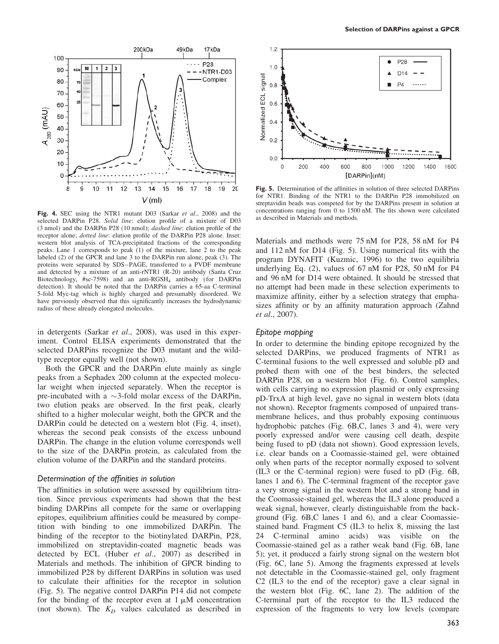

Fig. 4. SEC using the NTR1 mutant D03 (Sarkar et al., 2008) and the selected DARPin P28. Solid line: elution profile of a mixture of D03 (3 nmol) and the DARPin P28 (10 nmol); dashed line: elution profile of the receptor alone; dotted line: elution profile of the DARPin P28 alone. Inset: western blot analysis of TCA-precipitated fractions of the corresponding peaks. Lane 1 corresponds to peak (1) of the mixture, lane 2 to the peak labeled (2) of the GPCR and lane 3 to the DARPin run alone, peak (3). The proteins were separated by SDS–PAGE, transferred to a PVDF membrane and detected by a mixture of an anti-rNTR1 (R-20) antibody (Santa Cruz Biotechnology, #sc-7598) and an anti-RGSH<sub>4</sub> antibody (for DARPin detection). It should be noted that the DARPin carries a 65-aa C-terminal 5-fold Myc-tag which is highly charged and presumably disordered. We have previously observed that this significantly increases the hydrodynamic radius of these already elongated molecules.

in detergents (Sarkar et al., 2008), was used in this experiment. Control ELISA experiments demonstrated that the selected DARPins recognize the D03 mutant and the wildtype receptor equally well (not shown).

Both the GPCR and the DARPin elute mainly as single peaks from a Sephadex 200 column at the expected molecular weight when injected separately. When the receptor is pre-incubated with a  $\sim$ 3-fold molar excess of the DARPin, two elution peaks are observed. In the first peak, clearly shifted to a higher molecular weight, both the GPCR and the DARPin could be detected on a western blot (Fig. 4, inset), whereas the second peak consists of the excess unbound DARPin. The change in the elution volume corresponds well to the size of the DARPin protein, as calculated from the elution volume of the DARPin and the standard proteins.

## Determination of the affinities in solution

The affinities in solution were assessed by equilibrium titration. Since previous experiments had shown that the best binding DARPins all compete for the same or overlapping epitopes, equilibrium affinities could be measured by competition with binding to one immobilized DARPin. The binding of the receptor to the biotinylated DARPin, P28, immobilized on streptavidin-coated magnetic beads was detected by ECL (Huber et al., 2007) as described in Materials and methods. The inhibition of GPCR binding to immobilized P28 by different DARPins in solution was used to calculate their affinities for the receptor in solution (Fig. 5). The negative control DARPin P14 did not compete for the binding of the receptor even at  $1 \mu M$  concentration (not shown). The  $K_D$  values calculated as described in



Fig. 5. Determination of the affinities in solution of three selected DARPins for NTR1. Binding of the NTR1 to the DARPin P28 immobilized on streptavidin beads was competed for by the DARPins present in solution at concentrations ranging from 0 to 1500 nM. The fits shown were calculated as described in Materials and methods.

Materials and methods were 75 nM for P28, 58 nM for P4 and 112 nM for D14 (Fig. 5). Using numerical fits with the program DYNAFIT (Kuzmic, 1996) to the two equilibria underlying Eq. (2), values of 67 nM for P28, 50 nM for P4 and 96 nM for D14 were obtained. It should be stressed that no attempt had been made in these selection experiments to maximize affinity, either by a selection strategy that emphasizes affinity or by an affinity maturation approach (Zahnd et al., 2007).

## Epitope mapping

In order to determine the binding epitope recognized by the selected DARPins, we produced fragments of NTR1 as C-terminal fusions to the well expressed and soluble pD and probed them with one of the best binders, the selected DARPin P28, on a western blot (Fig. 6). Control samples, with cells carrying no expression plasmid or only expressing pD-TrxA at high level, gave no signal in western blots (data not shown). Receptor fragments composed of unpaired transmembrane helices, and thus probably exposing continuous hydrophobic patches (Fig. 6B,C, lanes 3 and 4), were very poorly expressed and/or were causing cell death, despite being fused to pD (data not shown). Good expression levels, i.e. clear bands on a Coomassie-stained gel, were obtained only when parts of the receptor normally exposed to solvent (IL3 or the C-terminal region) were fused to pD (Fig. 6B, lanes 1 and 6). The C-terminal fragment of the receptor gave a very strong signal in the western blot and a strong band in the Coomassie-stained gel, whereas the IL3 alone produced a weak signal, however, clearly distinguishable from the background (Fig. 6B,C lanes 1 and 6), and a clear Coomassiestained band. Fragment C5 (IL3 to helix 8, missing the last 24 C-terminal amino acids) was visible on the Coomassie-stained gel as a rather weak band (Fig. 6B, lane 5); yet, it produced a fairly strong signal on the western blot (Fig. 6C, lane 5). Among the fragments expressed at levels not detectable in the Coomassie-stained gel, only fragment C2 (IL3 to the end of the receptor) gave a clear signal in the western blot (Fig. 6C, lane 2). The addition of the C-terminal part of the receptor to the IL3 reduced the expression of the fragments to very low levels (compare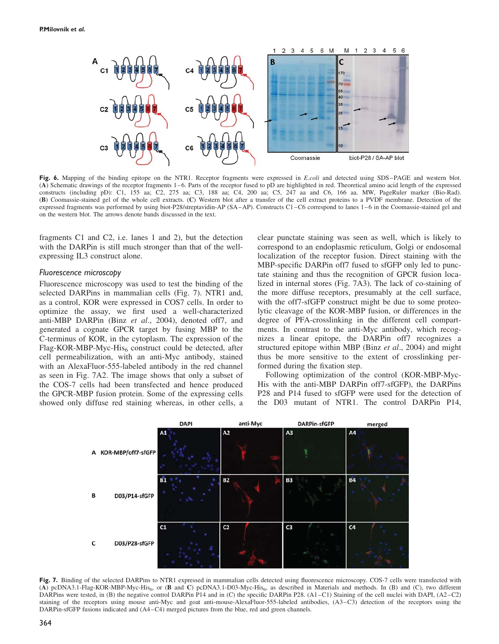

Fig. 6. Mapping of the binding epitope on the NTR1. Receptor fragments were expressed in E.coli and detected using SDS–PAGE and western blot. (A) Schematic drawings of the receptor fragments 1–6. Parts of the receptor fused to pD are highlighted in red. Theoretical amino acid length of the expressed constructs (including pD): C1, 155 aa; C2, 275 aa; C3, 188 aa; C4, 200 aa; C5, 247 aa and C6, 166 aa. MW, PageRuler marker (Bio-Rad). (B) Coomassie-stained gel of the whole cell extracts. (C) Western blot after a transfer of the cell extract proteins to a PVDF membrane. Detection of the expressed fragments was performed by using biot-P28/streptavidin-AP (SA–AP). Constructs C1–C6 correspond to lanes 1–6 in the Coomassie-stained gel and on the western blot. The arrows denote bands discussed in the text.

fragments C1 and C2, i.e. lanes 1 and 2), but the detection with the DARPin is still much stronger than that of the wellexpressing IL3 construct alone.

#### Fluorescence microscopy

Fluorescence microscopy was used to test the binding of the selected DARPins in mammalian cells (Fig. 7). NTR1 and, as a control, KOR were expressed in COS7 cells. In order to optimize the assay, we first used a well-characterized anti-MBP DARPin (Binz et al., 2004), denoted off7, and generated a cognate GPCR target by fusing MBP to the C-terminus of KOR, in the cytoplasm. The expression of the Flag-KOR-MBP-Myc-His $_6$  construct could be detected, after cell permeabilization, with an anti-Myc antibody, stained with an AlexaFluor-555-labeled antibody in the red channel as seen in Fig. 7A2. The image shows that only a subset of the COS-7 cells had been transfected and hence produced the GPCR-MBP fusion protein. Some of the expressing cells showed only diffuse red staining whereas, in other cells, a

clear punctate staining was seen as well, which is likely to correspond to an endoplasmic reticulum, Golgi or endosomal localization of the receptor fusion. Direct staining with the MBP-specific DARPin off7 fused to sfGFP only led to punctate staining and thus the recognition of GPCR fusion localized in internal stores (Fig. 7A3). The lack of co-staining of the more diffuse receptors, presumably at the cell surface, with the off7-sfGFP construct might be due to some proteolytic cleavage of the KOR-MBP fusion, or differences in the degree of PFA-crosslinking in the different cell compartments. In contrast to the anti-Myc antibody, which recognizes a linear epitope, the DARPin off7 recognizes a structured epitope within MBP (Binz et al., 2004) and might thus be more sensitive to the extent of crosslinking performed during the fixation step.

Following optimization of the control (KOR-MBP-Myc-His with the anti-MBP DARPin off7-sfGFP), the DARPins P28 and P14 fused to sfGFP were used for the detection of the D03 mutant of NTR1. The control DARPin P14,



Fig. 7. Binding of the selected DARPins to NTR1 expressed in mammalian cells detected using fluorescence microscopy. COS-7 cells were transfected with (A) pcDNA3.1-Flag-KOR-MBP-Myc-His<sub>6</sub>, or (B and C) pcDNA3.1-D03-Myc-His<sub>6</sub>, as described in Materials and methods. In (B) and (C), two different DARPins were tested, in (B) the negative control DARPin P14 and in (C) the specific DARPin P28. (A1–C1) Staining of the cell nuclei with DAPI, (A2–C2) staining of the receptors using mouse anti-Myc and goat anti-mouse-AlexaFluor-555-labeled antibodies, (A3–C3) detection of the receptors using the DARPin-sfGFP fusions indicated and (A4–C4) merged pictures from the blue, red and green channels.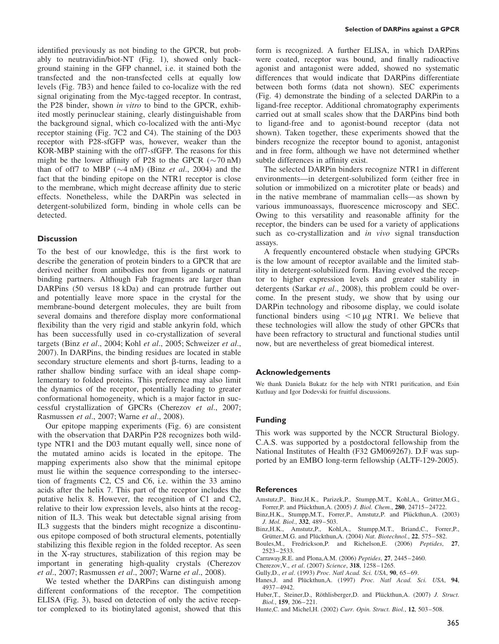identified previously as not binding to the GPCR, but probably to neutravidin/biot-NT (Fig. 1), showed only background staining in the GFP channel, i.e. it stained both the transfected and the non-transfected cells at equally low levels (Fig. 7B3) and hence failed to co-localize with the red signal originating from the Myc-tagged receptor. In contrast, the P28 binder, shown in vitro to bind to the GPCR, exhibited mostly perinuclear staining, clearly distinguishable from the background signal, which co-localized with the anti-Myc receptor staining (Fig. 7C2 and C4). The staining of the D03 receptor with P28-sfGFP was, however, weaker than the KOR-MBP staining with the off7-sfGFP. The reasons for this might be the lower affinity of P28 to the GPCR  $(\sim 70 \text{ nM})$ than of off7 to MBP  $(\sim 4 \text{ nM})$  (Binz *et al.*, 2004) and the fact that the binding epitope on the NTR1 receptor is close to the membrane, which might decrease affinity due to steric effects. Nonetheless, while the DARPin was selected in detergent-solubilized form, binding in whole cells can be detected.

#### **Discussion**

To the best of our knowledge, this is the first work to describe the generation of protein binders to a GPCR that are derived neither from antibodies nor from ligands or natural binding partners. Although Fab fragments are larger than DARPins (50 versus 18 kDa) and can protrude further out and potentially leave more space in the crystal for the membrane-bound detergent molecules, they are built from several domains and therefore display more conformational flexibility than the very rigid and stable ankyrin fold, which has been successfully used in co-crystallization of several targets (Binz et al., 2004; Kohl et al., 2005; Schweizer et al., 2007). In DARPins, the binding residues are located in stable secondary structure elements and short  $\beta$ -turns, leading to a rather shallow binding surface with an ideal shape complementary to folded proteins. This preference may also limit the dynamics of the receptor, potentially leading to greater conformational homogeneity, which is a major factor in successful crystallization of GPCRs (Cherezov et al., 2007; Rasmussen et al., 2007; Warne et al., 2008).

Our epitope mapping experiments (Fig. 6) are consistent with the observation that DARPin P28 recognizes both wildtype NTR1 and the D03 mutant equally well, since none of the mutated amino acids is located in the epitope. The mapping experiments also show that the minimal epitope must lie within the sequence corresponding to the intersection of fragments C2, C5 and C6, i.e. within the 33 amino acids after the helix 7. This part of the receptor includes the putative helix 8. However, the recognition of C1 and C2, relative to their low expression levels, also hints at the recognition of IL3. This weak but detectable signal arising from IL3 suggests that the binders might recognize a discontinuous epitope composed of both structural elements, potentially stabilizing this flexible region in the folded receptor. As seen in the X-ray structures, stabilization of this region may be important in generating high-quality crystals (Cherezov et al., 2007; Rasmussen et al., 2007; Warne et al., 2008).

We tested whether the DARPins can distinguish among different conformations of the receptor. The competition ELISA (Fig. 3), based on detection of only the active receptor complexed to its biotinylated agonist, showed that this form is recognized. A further ELISA, in which DARPins were coated, receptor was bound, and finally radioactive agonist and antagonist were added, showed no systematic differences that would indicate that DARPins differentiate between both forms (data not shown). SEC experiments (Fig. 4) demonstrate the binding of a selected DARPin to a ligand-free receptor. Additional chromatography experiments carried out at small scales show that the DARPins bind both to ligand-free and to agonist-bound receptor (data not shown). Taken together, these experiments showed that the binders recognize the receptor bound to agonist, antagonist and in free form, although we have not determined whether subtle differences in affinity exist.

The selected DARPin binders recognize NTR1 in different environments—in detergent-solubilized form (either free in solution or immobilized on a microtiter plate or beads) and in the native membrane of mammalian cells—as shown by various immunoassays, fluorescence microscopy and SEC. Owing to this versatility and reasonable affinity for the receptor, the binders can be used for a variety of applications such as co-crystallization and in vivo signal transduction assays.

A frequently encountered obstacle when studying GPCRs is the low amount of receptor available and the limited stability in detergent-solubilized form. Having evolved the receptor to higher expression levels and greater stability in detergents (Sarkar et al., 2008), this problem could be overcome. In the present study, we show that by using our DARPin technology and ribosome display, we could isolate functional binders using  $\lt 10 \mu g$  NTR1. We believe that these technologies will allow the study of other GPCRs that have been refractory to structural and functional studies until now, but are nevertheless of great biomedical interest.

#### Acknowledgements

We thank Daniela Bukatz for the help with NTR1 purification, and Esin Kutluay and Igor Dodevski for fruitful discussions.

#### Funding

This work was supported by the NCCR Structural Biology. C.A.S. was supported by a postdoctoral fellowship from the National Institutes of Health (F32 GM069267). D.F was supported by an EMBO long-term fellowship (ALTF-129-2005).

#### **References**

Amstutz,P., Binz,H.K., Parizek,P., Stumpp,M.T., Kohl,A., Grütter,M.G., Forrer, P. and Plückthun, A. (2005) J. Biol. Chem., 280, 24715–24722.

Binz, H.K., Stumpp, M.T., Forrer, P., Amstutz, P. and Plückthun, A. (2003) J. Mol. Biol., 332, 489–503.

- Binz,H.K., Amstutz,P., Kohl,A., Stumpp,M.T., Briand,C., Forrer,P., Grütter, M.G. and Plückthun, A. (2004) Nat. Biotechnol., 22, 575–582.
- Boules,M., Fredrickson,P. and Richelson,E. (2006) Peptides, 27, 2523–2533.
- Carraway,R.E. and Plona,A.M. (2006) Peptides, 27, 2445–2460.
- Cherezov,V., et al. (2007) Science, 318, 1258–1265.
- Gully, D., et al. (1993) Proc. Natl Acad. Sci. USA, 90, 65-69.
- Hanes,J. and Plückthun,A. (1997) Proc. Natl Acad. Sci. USA, 94, 4937–4942.
- Huber,T., Steiner,D., Röthlisberger,D. and Plückthun,A. (2007) J. Struct. Biol., 159, 206–221.
- Hunte, C. and Michel, H. (2002) Curr. Opin. Struct. Biol., 12, 503-508.